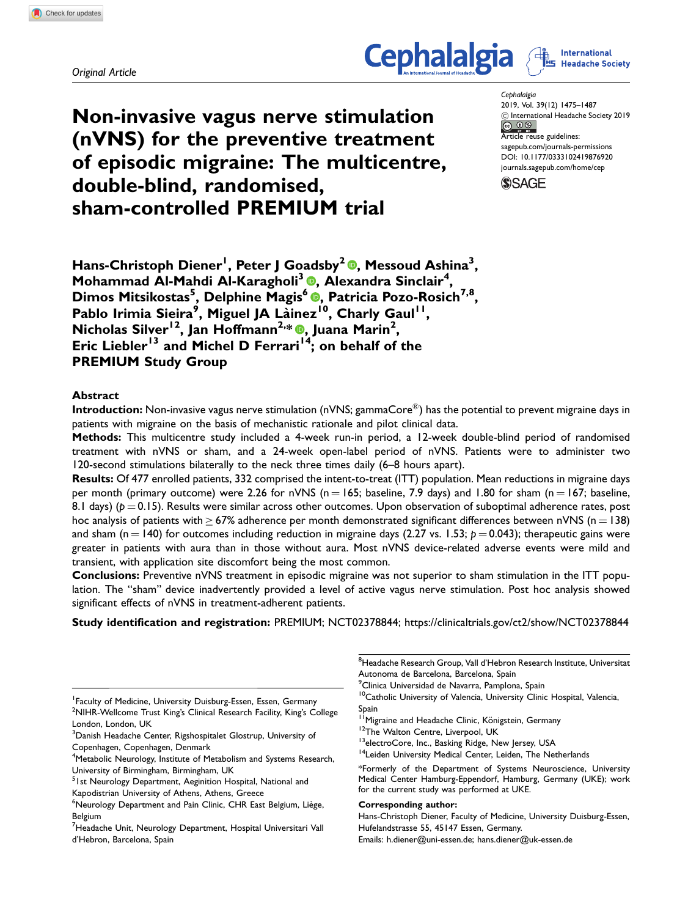Original Article

# **Cephalalgia**



Non-invasive vagus nerve stimulation (nVNS) for the preventive treatment of episodic migraine: The multicentre, double-blind, randomised, sham-controlled PREMIUM trial

**Cephalalgia** 2019, Vol. 39(12) 1475–1487 C International Headache Society 2019<br> **(c)** 0 S Article reuse guidelines: [sagepub.com/journals-permissions](https://uk.sagepub.com/en-gb/journals-permissions) DOI: [10.1177/0333102419876920](https://doi.org/10.1177/0333102419876920) <journals.sagepub.com/home/cep>



Hans-Christoph Diener<sup>1</sup>, Peter J Goadsby<sup>2</sup> ®, Messoud Ashina<sup>3</sup>, Mohammad Al-Mahdi Al-Karagholi<sup>3</sup> ®[,](https://orcid.org/0000-0003-1118-9665) Alexandra Sinclair<sup>4</sup>, Dimos Mitsikostas<sup>5</sup>, Delphine Magis<sup>6</sup> ®, Patricia Pozo-Rosich<sup>7,8</sup>, Pablo Irimia Sieira<sup>9</sup>, Miguel JA Làinez<sup>io</sup>, Charly Gaul<sup>11</sup>, Nicholas Silver<sup>12</sup>[,](https://orcid.org/0000-0002-2103-9081) Jan Hoffmann<sup>2,\*</sup> (1910), Juana Marin<sup>2</sup>, Eric Liebler<sup>13</sup> and Michel D Ferrari<sup>14</sup>; on behalf of the PREMIUM Study Group

#### Abstract

**Introduction:** Non-invasive vagus nerve stimulation (nVNS; gammaCore®) has the potential to prevent migraine days in patients with migraine on the basis of mechanistic rationale and pilot clinical data.

Methods: This multicentre study included a 4-week run-in period, a 12-week double-blind period of randomised treatment with nVNS or sham, and a 24-week open-label period of nVNS. Patients were to administer two 120-second stimulations bilaterally to the neck three times daily (6–8 hours apart).

Results: Of 477 enrolled patients, 332 comprised the intent-to-treat (ITT) population. Mean reductions in migraine days per month (primary outcome) were 2.26 for nVNS (n = 165; baseline, 7.9 days) and 1.80 for sham (n = 167; baseline, 8.1 days) ( $p = 0.15$ ). Results were similar across other outcomes. Upon observation of suboptimal adherence rates, post hoc analysis of patients with  $\geq$  67% adherence per month demonstrated significant differences between nVNS (n  $=$  138) and sham (n = 140) for outcomes including reduction in migraine days (2.27 vs. 1.53;  $p = 0.043$ ); therapeutic gains were greater in patients with aura than in those without aura. Most nVNS device-related adverse events were mild and transient, with application site discomfort being the most common.

Conclusions: Preventive nVNS treatment in episodic migraine was not superior to sham stimulation in the ITT population. The ''sham'' device inadvertently provided a level of active vagus nerve stimulation. Post hoc analysis showed significant effects of nVNS in treatment-adherent patients.

Study identification and registration: PREMIUM; NCT02378844;<https://clinicaltrials.gov/ct2/show/NCT02378844>

<sup>1</sup> Faculty of Medicine, University Duisburg-Essen, Essen, Germany  $^2$ NIHR-Wellcome Trust King's Clinical Research Facility, King's College

London, London, UK

<sup>9</sup> Clinica Universidad de Navarra, Pamplona, Spain

13 electroCore, Inc., Basking Ridge, New Jersey, USA

#### Corresponding author:

<sup>&</sup>lt;sup>3</sup>Danish Headache Center, Rigshospitalet Glostrup, University of Copenhagen, Copenhagen, Denmark

<sup>&</sup>lt;sup>4</sup>Metabolic Neurology, Institute of Metabolism and Systems Research, University of Birmingham, Birmingham, UK

<sup>&</sup>lt;sup>5</sup> Ist Neurology Department, Aeginition Hospital, National and Kapodistrian University of Athens, Athens, Greece

<sup>&</sup>lt;sup>6</sup>Neurology Department and Pain Clinic, CHR East Belgium, Liège, Belgium

<sup>&</sup>lt;sup>7</sup>Headache Unit, Neurology Department, Hospital Universitari Vall d'Hebron, Barcelona, Spain

<sup>&</sup>lt;sup>8</sup>Headache Research Group, Vall d'Hebron Research Institute, Universitat Autonoma de Barcelona, Barcelona, Spain

<sup>&</sup>lt;sup>10</sup>Catholic University of Valencia, University Clinic Hospital, Valencia, Spain

<sup>&</sup>lt;sup>11</sup>Migraine and Headache Clinic, Königstein, Germany <sup>12</sup>The Walton Centre, Liverpool, UK

<sup>&</sup>lt;sup>14</sup>Leiden University Medical Center, Leiden, The Netherlands

<sup>\*</sup>Formerly of the Department of Systems Neuroscience, University Medical Center Hamburg-Eppendorf, Hamburg, Germany (UKE); work for the current study was performed at UKE.

Hans-Christoph Diener, Faculty of Medicine, University Duisburg-Essen, Hufelandstrasse 55, 45147 Essen, Germany.

Emails: h.diener@uni-essen.de; hans.diener@uk-essen.de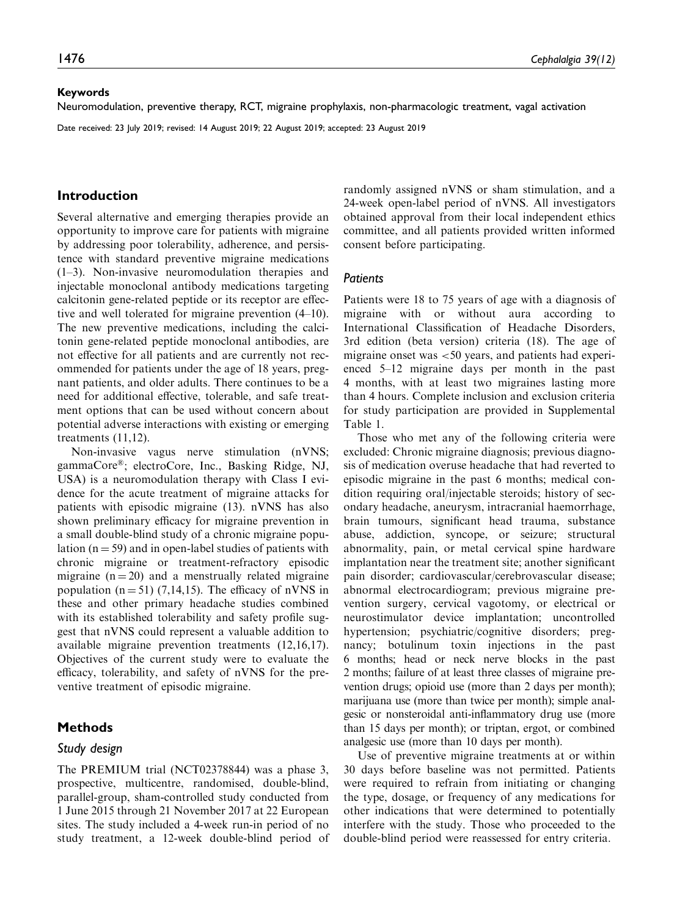Date received: 23 July 2019; revised: 14 August 2019; 22 August 2019; accepted: 23 August 2019

## Introduction

Several alternative and emerging therapies provide an opportunity to improve care for patients with migraine by addressing poor tolerability, adherence, and persistence with standard preventive migraine medications (1–3). Non-invasive neuromodulation therapies and injectable monoclonal antibody medications targeting calcitonin gene-related peptide or its receptor are effective and well tolerated for migraine prevention (4–10). The new preventive medications, including the calcitonin gene-related peptide monoclonal antibodies, are not effective for all patients and are currently not recommended for patients under the age of 18 years, pregnant patients, and older adults. There continues to be a need for additional effective, tolerable, and safe treatment options that can be used without concern about potential adverse interactions with existing or emerging treatments (11,12).

Non-invasive vagus nerve stimulation (nVNS; gammaCore®; electroCore, Inc., Basking Ridge, NJ, USA) is a neuromodulation therapy with Class I evidence for the acute treatment of migraine attacks for patients with episodic migraine (13). nVNS has also shown preliminary efficacy for migraine prevention in a small double-blind study of a chronic migraine population ( $n = 59$ ) and in open-label studies of patients with chronic migraine or treatment-refractory episodic migraine  $(n = 20)$  and a menstrually related migraine population  $(n = 51)$  (7,14,15). The efficacy of nVNS in these and other primary headache studies combined with its established tolerability and safety profile suggest that nVNS could represent a valuable addition to available migraine prevention treatments (12,16,17). Objectives of the current study were to evaluate the efficacy, tolerability, and safety of nVNS for the preventive treatment of episodic migraine.

# Methods

#### Study design

The PREMIUM trial (NCT02378844) was a phase 3, prospective, multicentre, randomised, double-blind, parallel-group, sham-controlled study conducted from 1 June 2015 through 21 November 2017 at 22 European sites. The study included a 4-week run-in period of no study treatment, a 12-week double-blind period of

randomly assigned nVNS or sham stimulation, and a 24-week open-label period of nVNS. All investigators obtained approval from their local independent ethics committee, and all patients provided written informed consent before participating.

## **Patients**

Patients were 18 to 75 years of age with a diagnosis of migraine with or without aura according to International Classification of Headache Disorders, 3rd edition (beta version) criteria (18). The age of migraine onset was <50 years, and patients had experienced 5–12 migraine days per month in the past 4 months, with at least two migraines lasting more than 4 hours. Complete inclusion and exclusion criteria for study participation are provided in Supplemental Table 1.

Those who met any of the following criteria were excluded: Chronic migraine diagnosis; previous diagnosis of medication overuse headache that had reverted to episodic migraine in the past 6 months; medical condition requiring oral/injectable steroids; history of secondary headache, aneurysm, intracranial haemorrhage, brain tumours, significant head trauma, substance abuse, addiction, syncope, or seizure; structural abnormality, pain, or metal cervical spine hardware implantation near the treatment site; another significant pain disorder; cardiovascular/cerebrovascular disease; abnormal electrocardiogram; previous migraine prevention surgery, cervical vagotomy, or electrical or neurostimulator device implantation; uncontrolled hypertension; psychiatric/cognitive disorders; pregnancy; botulinum toxin injections in the past 6 months; head or neck nerve blocks in the past 2 months; failure of at least three classes of migraine prevention drugs; opioid use (more than 2 days per month); marijuana use (more than twice per month); simple analgesic or nonsteroidal anti-inflammatory drug use (more than 15 days per month); or triptan, ergot, or combined analgesic use (more than 10 days per month).

Use of preventive migraine treatments at or within 30 days before baseline was not permitted. Patients were required to refrain from initiating or changing the type, dosage, or frequency of any medications for other indications that were determined to potentially interfere with the study. Those who proceeded to the double-blind period were reassessed for entry criteria.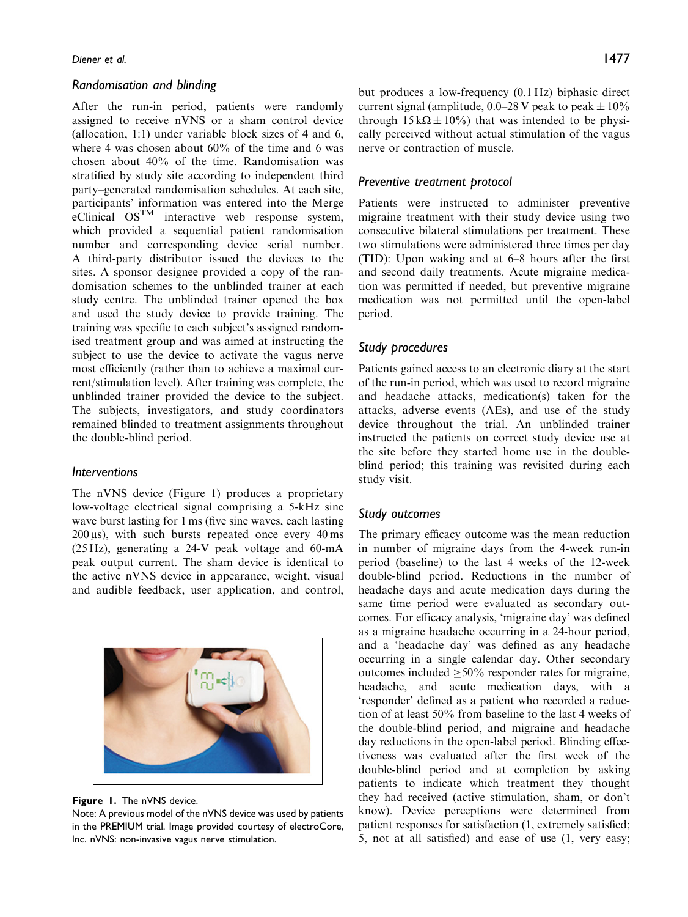## Randomisation and blinding

After the run-in period, patients were randomly assigned to receive nVNS or a sham control device (allocation, 1:1) under variable block sizes of 4 and 6, where 4 was chosen about 60% of the time and 6 was chosen about 40% of the time. Randomisation was stratified by study site according to independent third party–generated randomisation schedules. At each site, participants' information was entered into the Merge eClinical  $OS^{TM}$  interactive web response system, which provided a sequential patient randomisation number and corresponding device serial number. A third-party distributor issued the devices to the sites. A sponsor designee provided a copy of the randomisation schemes to the unblinded trainer at each study centre. The unblinded trainer opened the box and used the study device to provide training. The training was specific to each subject's assigned randomised treatment group and was aimed at instructing the subject to use the device to activate the vagus nerve most efficiently (rather than to achieve a maximal current/stimulation level). After training was complete, the unblinded trainer provided the device to the subject. The subjects, investigators, and study coordinators remained blinded to treatment assignments throughout the double-blind period.

# **Interventions**

The nVNS device (Figure 1) produces a proprietary low-voltage electrical signal comprising a 5-kHz sine wave burst lasting for 1 ms (five sine waves, each lasting  $200 \,\mu s$ ), with such bursts repeated once every  $40 \,\text{ms}$ (25 Hz), generating a 24-V peak voltage and 60-mA peak output current. The sham device is identical to the active nVNS device in appearance, weight, visual and audible feedback, user application, and control,



Figure 1. The nVNS device.

Note: A previous model of the nVNS device was used by patients in the PREMIUM trial. Image provided courtesy of electroCore, Inc. nVNS: non-invasive vagus nerve stimulation.

but produces a low-frequency (0.1 Hz) biphasic direct current signal (amplitude,  $0.0-28$  V peak to peak  $\pm 10\%$ through  $15 \text{ k}\Omega \pm 10\%$ ) that was intended to be physically perceived without actual stimulation of the vagus nerve or contraction of muscle.

## Preventive treatment protocol

Patients were instructed to administer preventive migraine treatment with their study device using two consecutive bilateral stimulations per treatment. These two stimulations were administered three times per day (TID): Upon waking and at 6–8 hours after the first and second daily treatments. Acute migraine medication was permitted if needed, but preventive migraine medication was not permitted until the open-label period.

#### Study procedures

Patients gained access to an electronic diary at the start of the run-in period, which was used to record migraine and headache attacks, medication(s) taken for the attacks, adverse events (AEs), and use of the study device throughout the trial. An unblinded trainer instructed the patients on correct study device use at the site before they started home use in the doubleblind period; this training was revisited during each study visit.

#### Study outcomes

The primary efficacy outcome was the mean reduction in number of migraine days from the 4-week run-in period (baseline) to the last 4 weeks of the 12-week double-blind period. Reductions in the number of headache days and acute medication days during the same time period were evaluated as secondary outcomes. For efficacy analysis, 'migraine day' was defined as a migraine headache occurring in a 24-hour period, and a 'headache day' was defined as any headache occurring in a single calendar day. Other secondary outcomes included  $\geq 50\%$  responder rates for migraine, headache, and acute medication days, with a 'responder' defined as a patient who recorded a reduction of at least 50% from baseline to the last 4 weeks of the double-blind period, and migraine and headache day reductions in the open-label period. Blinding effectiveness was evaluated after the first week of the double-blind period and at completion by asking patients to indicate which treatment they thought they had received (active stimulation, sham, or don't know). Device perceptions were determined from patient responses for satisfaction (1, extremely satisfied; 5, not at all satisfied) and ease of use (1, very easy;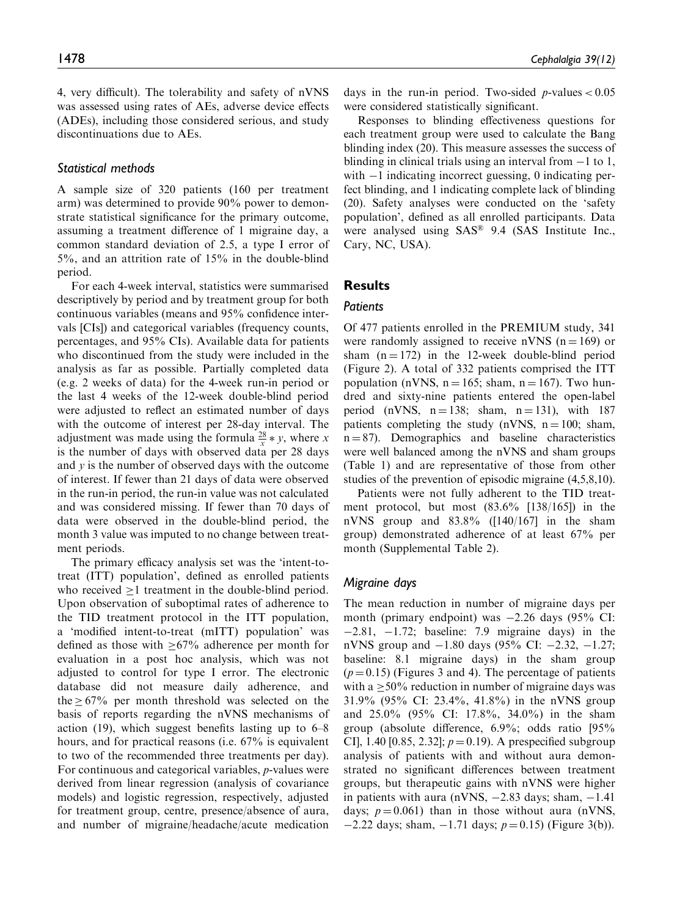4, very difficult). The tolerability and safety of nVNS was assessed using rates of AEs, adverse device effects (ADEs), including those considered serious, and study discontinuations due to AEs.

#### Statistical methods

A sample size of 320 patients (160 per treatment arm) was determined to provide 90% power to demonstrate statistical significance for the primary outcome, assuming a treatment difference of 1 migraine day, a common standard deviation of 2.5, a type I error of 5%, and an attrition rate of 15% in the double-blind period.

For each 4-week interval, statistics were summarised descriptively by period and by treatment group for both continuous variables (means and 95% confidence intervals [CIs]) and categorical variables (frequency counts, percentages, and 95% CIs). Available data for patients who discontinued from the study were included in the analysis as far as possible. Partially completed data (e.g. 2 weeks of data) for the 4-week run-in period or the last 4 weeks of the 12-week double-blind period were adjusted to reflect an estimated number of days with the outcome of interest per 28-day interval. The adjustment was made using the formula  $\frac{28}{x} * y$ , where x is the number of days with observed data per 28 days and  $y$  is the number of observed days with the outcome of interest. If fewer than 21 days of data were observed in the run-in period, the run-in value was not calculated and was considered missing. If fewer than 70 days of data were observed in the double-blind period, the month 3 value was imputed to no change between treatment periods.

The primary efficacy analysis set was the 'intent-totreat (ITT) population', defined as enrolled patients who received  $\geq$ 1 treatment in the double-blind period. Upon observation of suboptimal rates of adherence to the TID treatment protocol in the ITT population, a 'modified intent-to-treat (mITT) population' was defined as those with  $\geq 67\%$  adherence per month for evaluation in a post hoc analysis, which was not adjusted to control for type I error. The electronic database did not measure daily adherence, and the  $\geq 67\%$  per month threshold was selected on the basis of reports regarding the nVNS mechanisms of action (19), which suggest benefits lasting up to 6–8 hours, and for practical reasons (i.e. 67% is equivalent to two of the recommended three treatments per day). For continuous and categorical variables, p-values were derived from linear regression (analysis of covariance models) and logistic regression, respectively, adjusted for treatment group, centre, presence/absence of aura, and number of migraine/headache/acute medication days in the run-in period. Two-sided *p*-values  $< 0.05$ were considered statistically significant.

Responses to blinding effectiveness questions for each treatment group were used to calculate the Bang blinding index (20). This measure assesses the success of blinding in clinical trials using an interval from  $-1$  to 1, with  $-1$  indicating incorrect guessing, 0 indicating perfect blinding, and 1 indicating complete lack of blinding (20). Safety analyses were conducted on the 'safety population', defined as all enrolled participants. Data were analysed using  $SAS^{\circledast}$  9.4 (SAS Institute Inc., Cary, NC, USA).

# **Results**

#### **Patients**

Of 477 patients enrolled in the PREMIUM study, 341 were randomly assigned to receive nVNS  $(n = 169)$  or sham  $(n = 172)$  in the 12-week double-blind period (Figure 2). A total of 332 patients comprised the ITT population (nVNS,  $n = 165$ ; sham,  $n = 167$ ). Two hundred and sixty-nine patients entered the open-label period (nVNS,  $n = 138$ ; sham,  $n = 131$ ), with 187 patients completing the study (nVNS,  $n = 100$ ; sham,  $n = 87$ ). Demographics and baseline characteristics were well balanced among the nVNS and sham groups (Table 1) and are representative of those from other studies of the prevention of episodic migraine (4,5,8,10).

Patients were not fully adherent to the TID treatment protocol, but most (83.6% [138/165]) in the nVNS group and 83.8% ([140/167] in the sham group) demonstrated adherence of at least 67% per month (Supplemental Table 2).

# Migraine days

The mean reduction in number of migraine days per month (primary endpoint) was  $-2.26$  days (95% CI:  $-2.81$ ,  $-1.72$ ; baseline: 7.9 migraine days) in the nVNS group and  $-1.80$  days (95% CI:  $-2.32, -1.27$ ; baseline: 8.1 migraine days) in the sham group  $(p = 0.15)$  (Figures 3 and 4). The percentage of patients with a  $\geq$  50% reduction in number of migraine days was 31.9% (95% CI: 23.4%, 41.8%) in the nVNS group and 25.0% (95% CI: 17.8%, 34.0%) in the sham group (absolute difference, 6.9%; odds ratio [95% CI], 1.40 [0.85, 2.32];  $p = 0.19$ ). A prespecified subgroup analysis of patients with and without aura demonstrated no significant differences between treatment groups, but therapeutic gains with nVNS were higher in patients with aura (nVNS,  $-2.83$  days; sham,  $-1.41$ days;  $p = 0.061$ ) than in those without aura (nVNS,  $-2.22$  days; sham,  $-1.71$  days;  $p = 0.15$ ) (Figure 3(b)).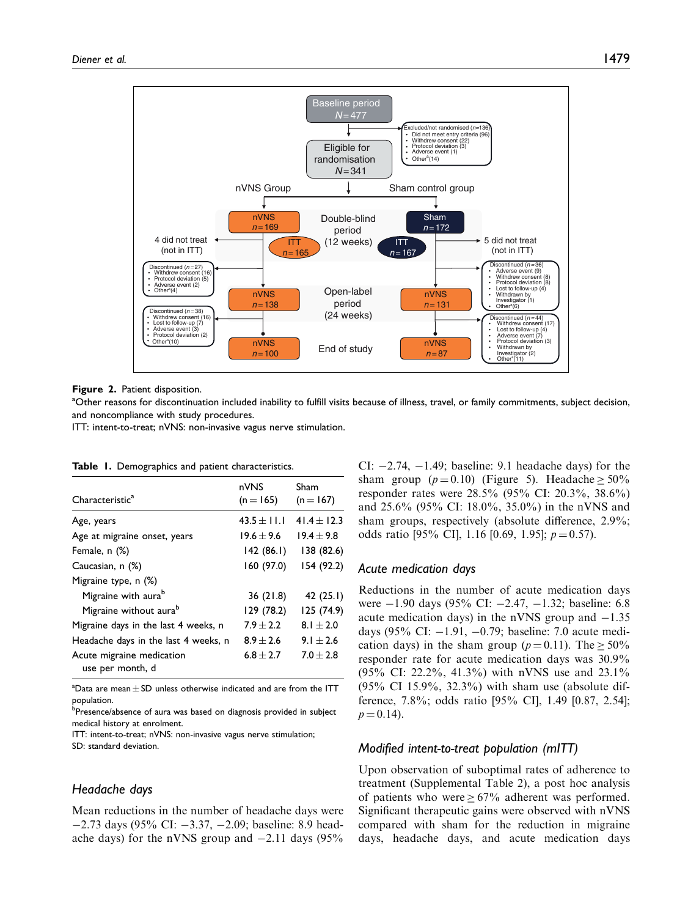

#### Figure 2. Patient disposition.

<sup>a</sup>Other reasons for discontinuation included inability to fulfill visits because of illness, travel, or family commitments, subject decision, and noncompliance with study procedures.

ITT: intent-to-treat; nVNS: non-invasive vagus nerve stimulation.

|  |  |  |  |  | Table 1. Demographics and patient characteristics. |
|--|--|--|--|--|----------------------------------------------------|
|--|--|--|--|--|----------------------------------------------------|

| Characteristic <sup>a</sup>                   | nVNS<br>$(n = 165)$ | Sham<br>$(n = 167)$ |
|-----------------------------------------------|---------------------|---------------------|
| Age, years                                    | $43.5 \pm 11.1$     | $41.4 \pm 12.3$     |
| Age at migraine onset, years                  | $19.6 \pm 9.6$      | $19.4 \pm 9.8$      |
| Female, n (%)                                 | 142 (86.1)          | 138 (82.6)          |
| Caucasian, n (%)                              | 160 (97.0)          | 154 (92.2)          |
| Migraine type, n (%)                          |                     |                     |
| Migraine with aura <sup>b</sup>               | 36(21.8)            | 42 $(25.1)$         |
| Migraine without aura <sup>b</sup>            | 129 (78.2)          | 125(74.9)           |
| Migraine days in the last 4 weeks, n          | $7.9 \pm 2.2$       | $8.1 \pm 2.0$       |
| Headache days in the last 4 weeks, n          | $8.9 \pm 2.6$       | $9.1 \pm 2.6$       |
| Acute migraine medication<br>use per month, d | $6.8 \pm 2.7$       | $7.0 \pm 2.8$       |

 $^{\rm a}$ Data are mean $\pm$  SD unless otherwise indicated and are from the ITT population.

<sup>b</sup>Presence/absence of aura was based on diagnosis provided in subject medical history at enrolment.

ITT: intent-to-treat; nVNS: non-invasive vagus nerve stimulation;

SD: standard deviation.

## Headache days

Mean reductions in the number of headache days were  $-2.73$  days (95% CI:  $-3.37, -2.09$ ; baseline: 8.9 headache days) for the nVNS group and  $-2.11$  days (95% CI:  $-2.74$ ,  $-1.49$ ; baseline: 9.1 headache days) for the sham group ( $p = 0.10$ ) (Figure 5). Headache  $\geq 50\%$ responder rates were 28.5% (95% CI: 20.3%, 38.6%) and 25.6% (95% CI: 18.0%, 35.0%) in the nVNS and sham groups, respectively (absolute difference, 2.9%; odds ratio [95% CI], 1.16 [0.69, 1.95];  $p = 0.57$ ).

#### Acute medication days

Reductions in the number of acute medication days were  $-1.90$  days (95% CI:  $-2.47, -1.32$ ; baseline: 6.8 acute medication days) in the nVNS group and  $-1.35$ days (95% CI:  $-1.91, -0.79$ ; baseline: 7.0 acute medication days) in the sham group ( $p = 0.11$ ). The  $\geq 50\%$ responder rate for acute medication days was 30.9% (95% CI: 22.2%, 41.3%) with nVNS use and 23.1% (95% CI 15.9%, 32.3%) with sham use (absolute difference, 7.8%; odds ratio [95% CI], 1.49 [0.87, 2.54];  $p = 0.14$ .

#### Modified intent-to-treat population (mITT)

Upon observation of suboptimal rates of adherence to treatment (Supplemental Table 2), a post hoc analysis of patients who were  $\geq 67\%$  adherent was performed. Significant therapeutic gains were observed with nVNS compared with sham for the reduction in migraine days, headache days, and acute medication days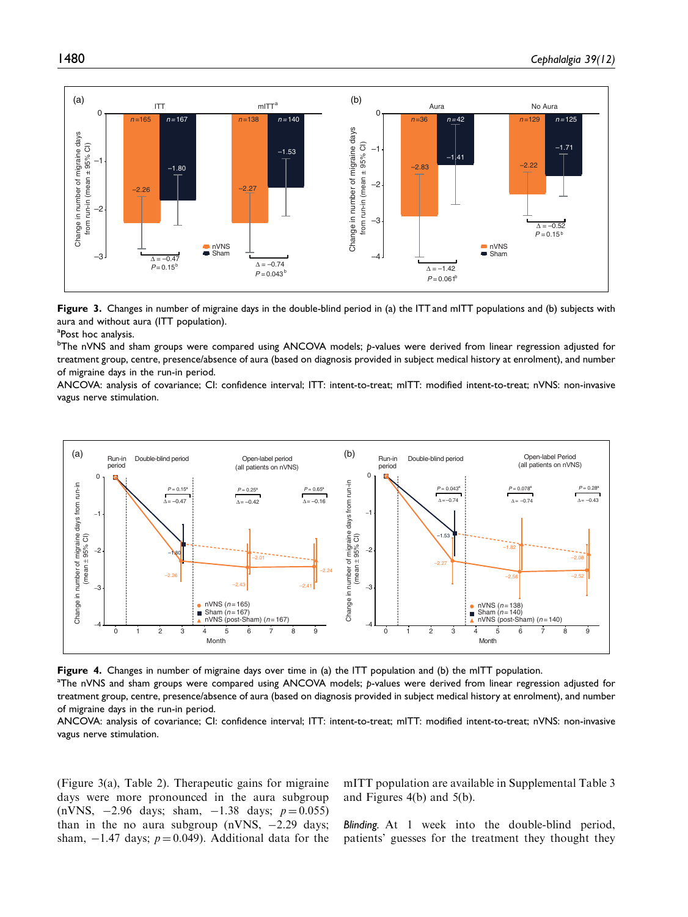

Figure 3. Changes in number of migraine days in the double-blind period in (a) the ITT and mITT populations and (b) subjects with aura and without aura (ITT population).

<sup>a</sup>Post hoc analysis.

<sup>b</sup>The nVNS and sham groups were compared using ANCOVA models; *p*-values were derived from linear regression adjusted for treatment group, centre, presence/absence of aura (based on diagnosis provided in subject medical history at enrolment), and number of migraine days in the run-in period.

ANCOVA: analysis of covariance; CI: confidence interval; ITT: intent-to-treat; mITT: modified intent-to-treat; nVNS: non-invasive vagus nerve stimulation.



Figure 4. Changes in number of migraine days over time in (a) the ITT population and (b) the mITT population. <sup>a</sup>The nVNS and sham groups were compared using ANCOVA models; p-values were derived from linear regression adjusted for treatment group, centre, presence/absence of aura (based on diagnosis provided in subject medical history at enrolment), and number of migraine days in the run-in period.

ANCOVA: analysis of covariance; CI: confidence interval; ITT: intent-to-treat; mITT: modified intent-to-treat; nVNS: non-invasive vagus nerve stimulation.

(Figure 3(a), Table 2). Therapeutic gains for migraine days were more pronounced in the aura subgroup  $(nVNS, -2.96 \text{ days}; \text{ sham}, -1.38 \text{ days}; p = 0.055)$ than in the no aura subgroup (nVNS,  $-2.29$  days; sham,  $-1.47$  days;  $p = 0.049$ ). Additional data for the mITT population are available in Supplemental Table 3 and Figures 4(b) and 5(b).

Blinding. At 1 week into the double-blind period, patients' guesses for the treatment they thought they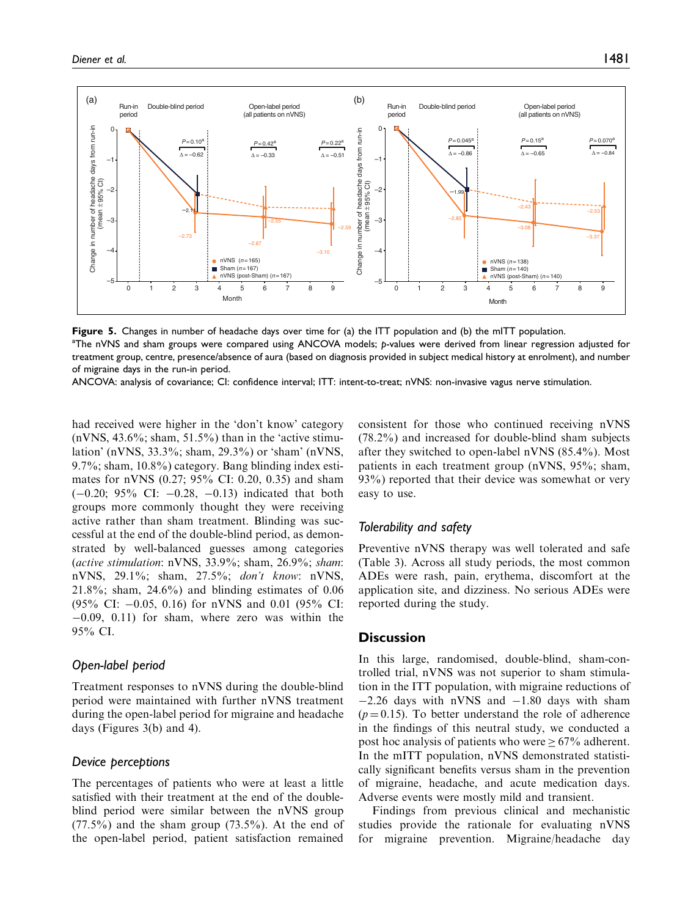

Figure 5. Changes in number of headache days over time for (a) the ITT population and (b) the mITT population. <sup>a</sup>The nVNS and sham groups were compared using ANCOVA models; p-values were derived from linear regression adjusted for treatment group, centre, presence/absence of aura (based on diagnosis provided in subject medical history at enrolment), and number of migraine days in the run-in period.

ANCOVA: analysis of covariance; CI: confidence interval; ITT: intent-to-treat; nVNS: non-invasive vagus nerve stimulation.

had received were higher in the 'don't know' category  $(nVNS, 43.6\%; sham, 51.5\%)$  than in the 'active stimulation' (nVNS, 33.3%; sham, 29.3%) or 'sham' (nVNS, 9.7%; sham, 10.8%) category. Bang blinding index estimates for nVNS (0.27; 95% CI: 0.20, 0.35) and sham  $(-0.20; 95\% \text{ CI: } -0.28, -0.13)$  indicated that both groups more commonly thought they were receiving active rather than sham treatment. Blinding was successful at the end of the double-blind period, as demonstrated by well-balanced guesses among categories (active stimulation: nVNS, 33.9%; sham, 26.9%; sham: nVNS, 29.1%; sham, 27.5%; don't know: nVNS,  $21.8\%$ ; sham,  $24.6\%$ ) and blinding estimates of 0.06 (95% CI:  $-0.05$ , 0.16) for nVNS and 0.01 (95% CI:  $-0.09$ ,  $0.11$ ) for sham, where zero was within the 95% CI.

#### Open-label period

Treatment responses to nVNS during the double-blind period were maintained with further nVNS treatment during the open-label period for migraine and headache days (Figures 3(b) and 4).

#### Device perceptions

The percentages of patients who were at least a little satisfied with their treatment at the end of the doubleblind period were similar between the nVNS group  $(77.5\%)$  and the sham group  $(73.5\%)$ . At the end of the open-label period, patient satisfaction remained consistent for those who continued receiving nVNS (78.2%) and increased for double-blind sham subjects after they switched to open-label nVNS (85.4%). Most patients in each treatment group (nVNS, 95%; sham, 93%) reported that their device was somewhat or very easy to use.

## Tolerability and safety

Preventive nVNS therapy was well tolerated and safe (Table 3). Across all study periods, the most common ADEs were rash, pain, erythema, discomfort at the application site, and dizziness. No serious ADEs were reported during the study.

#### **Discussion**

In this large, randomised, double-blind, sham-controlled trial, nVNS was not superior to sham stimulation in the ITT population, with migraine reductions of  $-2.26$  days with nVNS and  $-1.80$  days with sham  $(p = 0.15)$ . To better understand the role of adherence in the findings of this neutral study, we conducted a post hoc analysis of patients who were  $\geq 67\%$  adherent. In the mITT population, nVNS demonstrated statistically significant benefits versus sham in the prevention of migraine, headache, and acute medication days. Adverse events were mostly mild and transient.

Findings from previous clinical and mechanistic studies provide the rationale for evaluating nVNS for migraine prevention. Migraine/headache day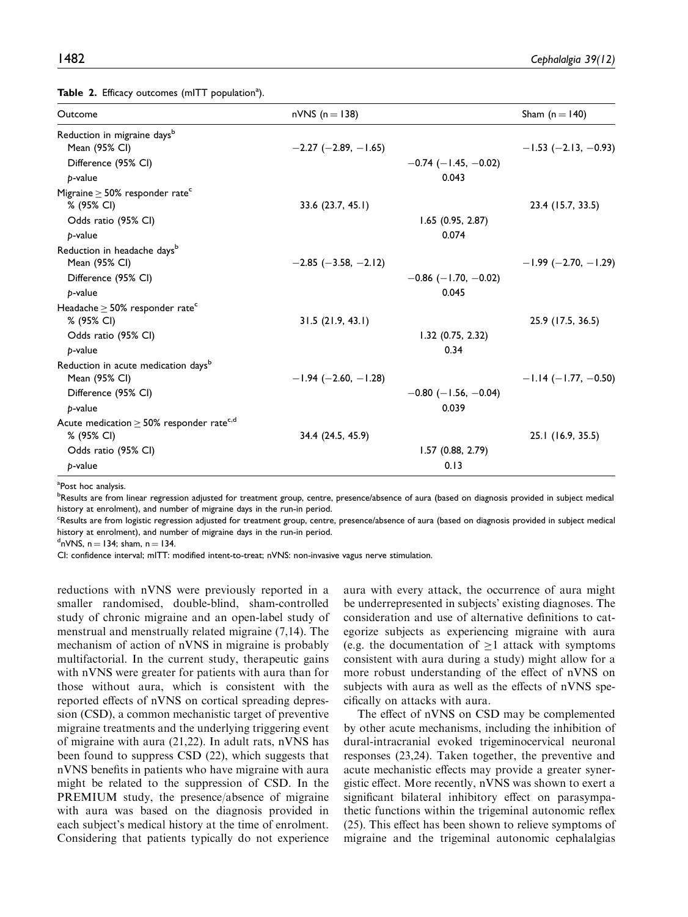| Outcome                                                   | $nVNS (n = 138)$              |                               | Sham $(n = 140)$              |
|-----------------------------------------------------------|-------------------------------|-------------------------------|-------------------------------|
| Reduction in migraine days <sup>b</sup>                   |                               |                               |                               |
| Mean (95% CI)                                             | $-2.27$ ( $-2.89$ , $-1.65$ ) |                               | $-1.53$ (-2.13, -0.93)        |
| Difference (95% CI)                                       |                               | $-0.74$ ( $-1.45$ , $-0.02$ ) |                               |
| b-value                                                   |                               | 0.043                         |                               |
| Migraine $>$ 50% responder rate <sup>c</sup>              |                               |                               |                               |
| % (95% CI)                                                | 33.6 (23.7, 45.1)             |                               | 23.4 (15.7, 33.5)             |
| Odds ratio (95% CI)                                       |                               | $1.65$ (0.95, 2.87)           |                               |
| p-value                                                   |                               | 0.074                         |                               |
| Reduction in headache days <sup>b</sup>                   |                               |                               |                               |
| Mean (95% CI)                                             | $-2.85$ ( $-3.58$ , $-2.12$ ) |                               | $-1.99$ (-2.70, -1.29)        |
| Difference (95% CI)                                       |                               | $-0.86$ ( $-1.70$ , $-0.02$ ) |                               |
| b-value                                                   |                               | 0.045                         |                               |
| Headache $\geq$ 50% responder rate <sup>c</sup>           |                               |                               |                               |
| % (95% CI)                                                | 31.5(21.9, 43.1)              |                               | 25.9 (17.5, 36.5)             |
| Odds ratio (95% CI)                                       |                               | $1.32$ (0.75, 2.32)           |                               |
| p-value                                                   |                               | 0.34                          |                               |
| Reduction in acute medication days <sup>b</sup>           |                               |                               |                               |
| Mean (95% CI)                                             | $-1.94$ (-2.60, -1.28)        |                               | $-1.14$ ( $-1.77$ , $-0.50$ ) |
| Difference (95% CI)                                       |                               | $-0.80$ ( $-1.56$ , $-0.04$ ) |                               |
| p-value                                                   |                               | 0.039                         |                               |
| Acute medication $\geq$ 50% responder rate <sup>c,d</sup> |                               |                               |                               |
| % (95% CI)                                                | 34.4 (24.5, 45.9)             |                               | 25.1 (16.9, 35.5)             |
| Odds ratio (95% CI)                                       |                               | $1.57$ (0.88, 2.79)           |                               |
| p-value                                                   |                               | 0.13                          |                               |

<sup>a</sup>Post hoc analysis.

<sup>b</sup>Results are from linear regression adjusted for treatment group, centre, presence/absence of aura (based on diagnosis provided in subject medical history at enrolment), and number of migraine days in the run-in period.

.<br><sup>c</sup>Results are from logistic regression adjusted for treatment group, centre, presence/absence of aura (based on diagnosis provided in subject medical history at enrolment), and number of migraine days in the run-in period.

 $\mathrm{d}_{\mathrm{n}}$ VNS, n  $=$  134; sham, n  $=$  134.

CI: confidence interval; mITT: modified intent-to-treat; nVNS: non-invasive vagus nerve stimulation.

reductions with nVNS were previously reported in a smaller randomised, double-blind, sham-controlled study of chronic migraine and an open-label study of menstrual and menstrually related migraine (7,14). The mechanism of action of nVNS in migraine is probably multifactorial. In the current study, therapeutic gains with nVNS were greater for patients with aura than for those without aura, which is consistent with the reported effects of nVNS on cortical spreading depression (CSD), a common mechanistic target of preventive migraine treatments and the underlying triggering event of migraine with aura (21,22). In adult rats, nVNS has been found to suppress CSD (22), which suggests that nVNS benefits in patients who have migraine with aura might be related to the suppression of CSD. In the PREMIUM study, the presence/absence of migraine with aura was based on the diagnosis provided in each subject's medical history at the time of enrolment. Considering that patients typically do not experience aura with every attack, the occurrence of aura might be underrepresented in subjects' existing diagnoses. The consideration and use of alternative definitions to categorize subjects as experiencing migraine with aura (e.g. the documentation of  $\geq 1$  attack with symptoms consistent with aura during a study) might allow for a more robust understanding of the effect of nVNS on subjects with aura as well as the effects of nVNS specifically on attacks with aura.

The effect of nVNS on CSD may be complemented by other acute mechanisms, including the inhibition of dural-intracranial evoked trigeminocervical neuronal responses (23,24). Taken together, the preventive and acute mechanistic effects may provide a greater synergistic effect. More recently, nVNS was shown to exert a significant bilateral inhibitory effect on parasympathetic functions within the trigeminal autonomic reflex (25). This effect has been shown to relieve symptoms of migraine and the trigeminal autonomic cephalalgias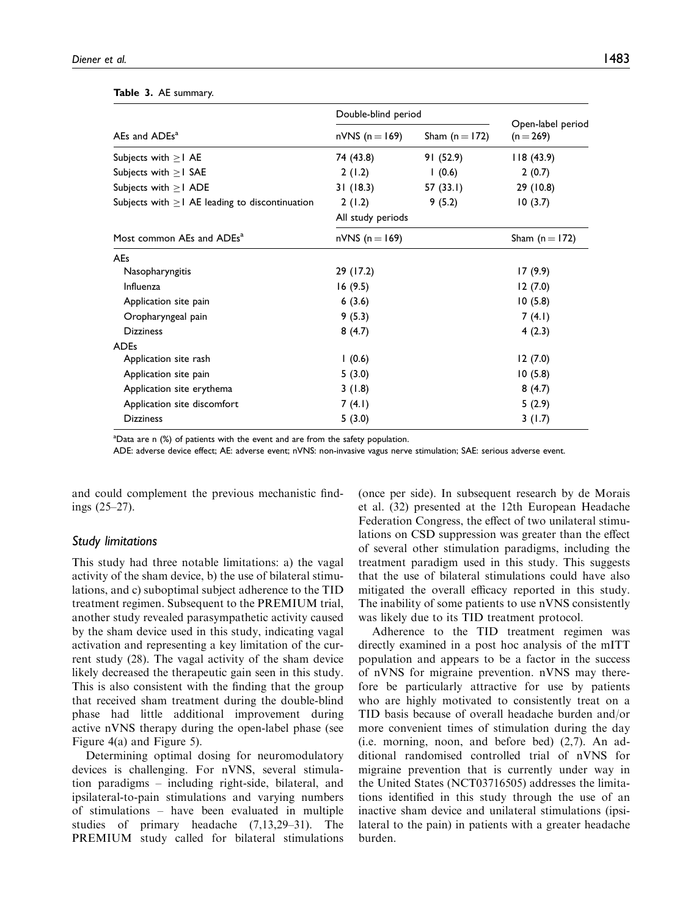|                                                      | Double-blind period |                     |                                  |
|------------------------------------------------------|---------------------|---------------------|----------------------------------|
| AEs and ADEs <sup>a</sup>                            | $nVNS (n = 169)$    | Sham $(n = 172)$    | Open-label period<br>$(n = 269)$ |
| Subjects with $>1$ AE                                | 74 (43.8)           | 91(52.9)            | 118(43.9)                        |
| Subjects with $>1$ SAE                               | 2(1.2)              | 1(0.6)<br>57 (33.1) | 2(0.7)<br>29 (10.8)              |
| Subjects with $>1$ ADE                               | 31 (18.3)           |                     |                                  |
| Subjects with $\geq 1$ AE leading to discontinuation | 2(1.2)              | 9(5.2)              | 10(3.7)                          |
|                                                      | All study periods   |                     |                                  |
| Most common AEs and ADEs <sup>a</sup>                | $nVNS (n = 169)$    | Sham $(n = 172)$    |                                  |
| <b>AEs</b>                                           |                     |                     |                                  |
| Nasopharyngitis                                      | 29 (17.2)           |                     | 17(9.9)                          |
| Influenza                                            | 16(9.5)             |                     | 12(7.0)                          |
| Application site pain                                | 6(3.6)              |                     | 10(5.8)                          |
| Oropharyngeal pain                                   | 9(5.3)              |                     | 7(4.1)                           |
| <b>Dizziness</b>                                     | 8(4.7)              |                     | 4(2.3)                           |
| <b>ADEs</b>                                          |                     |                     |                                  |
| Application site rash                                | 1(0.6)              |                     | 12(7.0)                          |
| Application site pain                                | 5(3.0)              |                     | 10(5.8)                          |
| Application site erythema                            | 3(1.8)              |                     | 8(4.7)                           |
| Application site discomfort                          | 7(4.1)              |                     | 5(2.9)                           |
| <b>Dizziness</b>                                     | 5(3.0)              |                     | 3(1.7)                           |

#### Table 3. AE summary.

<sup>a</sup>Data are n (%) of patients with the event and are from the safety population.

ADE: adverse device effect; AE: adverse event; nVNS: non-invasive vagus nerve stimulation; SAE: serious adverse event.

and could complement the previous mechanistic findings (25–27).

#### Study limitations

This study had three notable limitations: a) the vagal activity of the sham device, b) the use of bilateral stimulations, and c) suboptimal subject adherence to the TID treatment regimen. Subsequent to the PREMIUM trial, another study revealed parasympathetic activity caused by the sham device used in this study, indicating vagal activation and representing a key limitation of the current study (28). The vagal activity of the sham device likely decreased the therapeutic gain seen in this study. This is also consistent with the finding that the group that received sham treatment during the double-blind phase had little additional improvement during active nVNS therapy during the open-label phase (see Figure 4(a) and Figure 5).

Determining optimal dosing for neuromodulatory devices is challenging. For nVNS, several stimulation paradigms – including right-side, bilateral, and ipsilateral-to-pain stimulations and varying numbers of stimulations – have been evaluated in multiple studies of primary headache (7,13,29–31). The PREMIUM study called for bilateral stimulations (once per side). In subsequent research by de Morais et al. (32) presented at the 12th European Headache Federation Congress, the effect of two unilateral stimulations on CSD suppression was greater than the effect of several other stimulation paradigms, including the treatment paradigm used in this study. This suggests that the use of bilateral stimulations could have also mitigated the overall efficacy reported in this study. The inability of some patients to use nVNS consistently was likely due to its TID treatment protocol.

Adherence to the TID treatment regimen was directly examined in a post hoc analysis of the mITT population and appears to be a factor in the success of nVNS for migraine prevention. nVNS may therefore be particularly attractive for use by patients who are highly motivated to consistently treat on a TID basis because of overall headache burden and/or more convenient times of stimulation during the day (i.e. morning, noon, and before bed) (2,7). An additional randomised controlled trial of nVNS for migraine prevention that is currently under way in the United States (NCT03716505) addresses the limitations identified in this study through the use of an inactive sham device and unilateral stimulations (ipsilateral to the pain) in patients with a greater headache burden.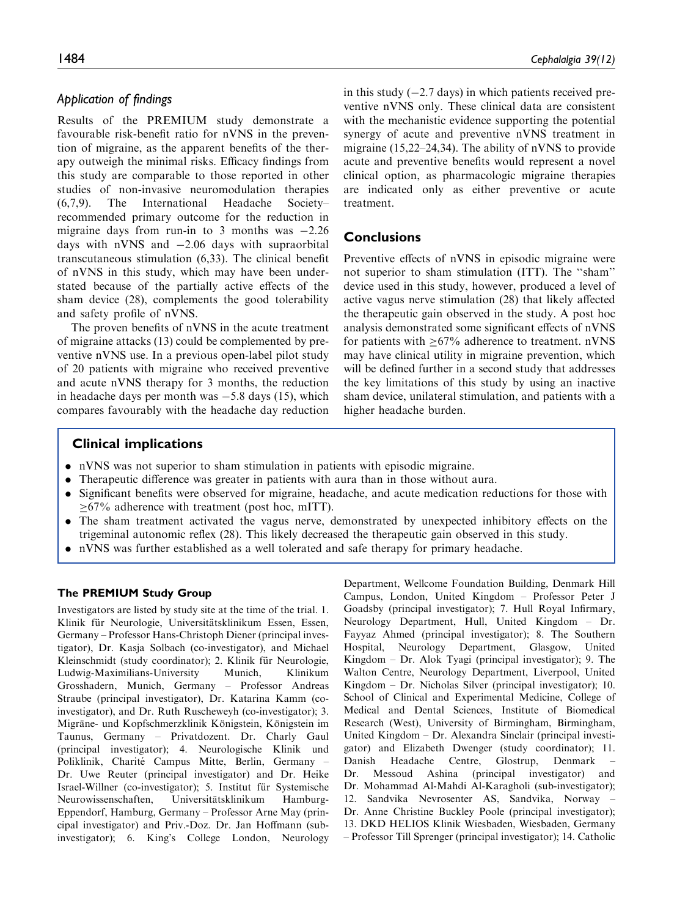## Application of findings

Results of the PREMIUM study demonstrate a favourable risk-benefit ratio for nVNS in the prevention of migraine, as the apparent benefits of the therapy outweigh the minimal risks. Efficacy findings from this study are comparable to those reported in other studies of non-invasive neuromodulation therapies (6,7,9). The International Headache Society– recommended primary outcome for the reduction in migraine days from run-in to 3 months was  $-2.26$ days with  $nVNS$  and  $-2.06$  days with supraorbital transcutaneous stimulation (6,33). The clinical benefit of nVNS in this study, which may have been understated because of the partially active effects of the sham device (28), complements the good tolerability and safety profile of nVNS.

The proven benefits of nVNS in the acute treatment of migraine attacks (13) could be complemented by preventive nVNS use. In a previous open-label pilot study of 20 patients with migraine who received preventive and acute nVNS therapy for 3 months, the reduction in headache days per month was  $-5.8$  days (15), which compares favourably with the headache day reduction in this study  $(-2.7$  days) in which patients received preventive nVNS only. These clinical data are consistent with the mechanistic evidence supporting the potential synergy of acute and preventive nVNS treatment in migraine (15,22–24,34). The ability of nVNS to provide acute and preventive benefits would represent a novel clinical option, as pharmacologic migraine therapies are indicated only as either preventive or acute treatment.

# Conclusions

Preventive effects of nVNS in episodic migraine were not superior to sham stimulation (ITT). The ''sham'' device used in this study, however, produced a level of active vagus nerve stimulation (28) that likely affected the therapeutic gain observed in the study. A post hoc analysis demonstrated some significant effects of nVNS for patients with  $\geq 67\%$  adherence to treatment. nVNS may have clinical utility in migraine prevention, which will be defined further in a second study that addresses the key limitations of this study by using an inactive sham device, unilateral stimulation, and patients with a higher headache burden.

# Clinical implications

- . nVNS was not superior to sham stimulation in patients with episodic migraine.
- . Therapeutic difference was greater in patients with aura than in those without aura.
- . Significant benefits were observed for migraine, headache, and acute medication reductions for those with  $\geq$ 67% adherence with treatment (post hoc, mITT).
- . The sham treatment activated the vagus nerve, demonstrated by unexpected inhibitory effects on the trigeminal autonomic reflex (28). This likely decreased the therapeutic gain observed in this study.
- . nVNS was further established as a well tolerated and safe therapy for primary headache.

#### The PREMIUM Study Group

Investigators are listed by study site at the time of the trial. 1. Klinik für Neurologie, Universitätsklinikum Essen, Essen, Germany – Professor Hans-Christoph Diener (principal investigator), Dr. Kasja Solbach (co-investigator), and Michael Kleinschmidt (study coordinator); 2. Klinik für Neurologie, Ludwig-Maximilians-University Munich, Klinikum Grosshadern, Munich, Germany – Professor Andreas Straube (principal investigator), Dr. Katarina Kamm (coinvestigator), and Dr. Ruth Ruscheweyh (co-investigator); 3. Migräne- und Kopfschmerzklinik Königstein, Königstein im Taunus, Germany – Privatdozent. Dr. Charly Gaul (principal investigator); 4. Neurologische Klinik und Poliklinik, Charité Campus Mitte, Berlin, Germany – Dr. Uwe Reuter (principal investigator) and Dr. Heike Israel-Willner (co-investigator); 5. Institut für Systemische Neurowissenschaften, Universitätsklinikum Hamburg-Eppendorf, Hamburg, Germany – Professor Arne May (principal investigator) and Priv.-Doz. Dr. Jan Hoffmann (subinvestigator); 6. King's College London, Neurology Department, Wellcome Foundation Building, Denmark Hill Campus, London, United Kingdom – Professor Peter J Goadsby (principal investigator); 7. Hull Royal Infirmary, Neurology Department, Hull, United Kingdom – Dr. Fayyaz Ahmed (principal investigator); 8. The Southern Hospital, Neurology Department, Glasgow, United Kingdom – Dr. Alok Tyagi (principal investigator); 9. The Walton Centre, Neurology Department, Liverpool, United Kingdom – Dr. Nicholas Silver (principal investigator); 10. School of Clinical and Experimental Medicine, College of Medical and Dental Sciences, Institute of Biomedical Research (West), University of Birmingham, Birmingham, United Kingdom – Dr. Alexandra Sinclair (principal investigator) and Elizabeth Dwenger (study coordinator); 11. Danish Headache Centre, Glostrup, Denmark – Dr. Messoud Ashina (principal investigator) and Dr. Mohammad Al-Mahdi Al-Karagholi (sub-investigator); 12. Sandvika Nevrosenter AS, Sandvika, Norway – Dr. Anne Christine Buckley Poole (principal investigator); 13. DKD HELIOS Klinik Wiesbaden, Wiesbaden, Germany – Professor Till Sprenger (principal investigator); 14. Catholic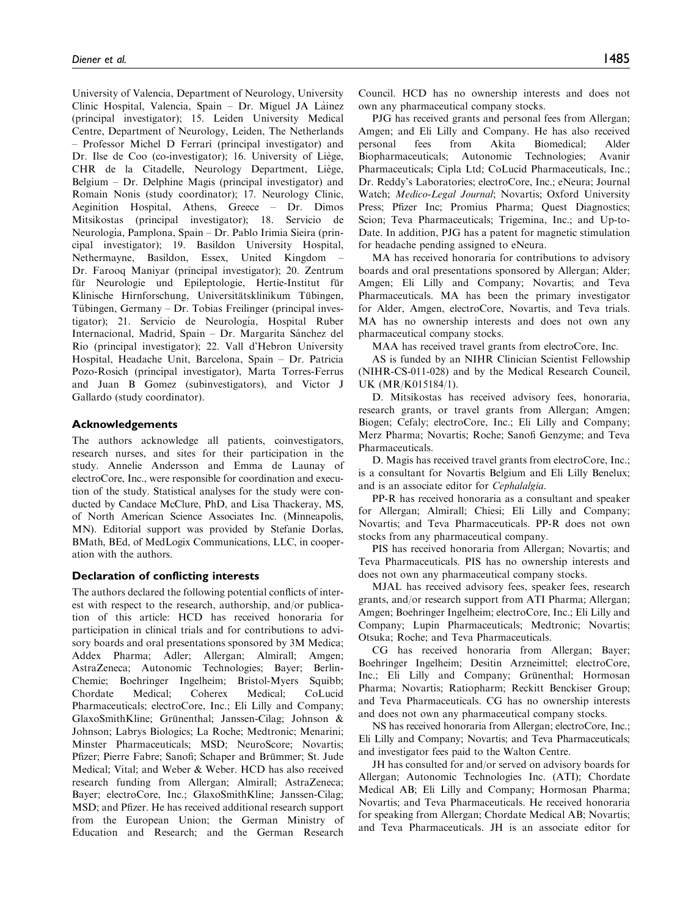University of Valencia, Department of Neurology, University Clinic Hospital, Valencia, Spain – Dr. Miguel JA La`inez (principal investigator); 15. Leiden University Medical Centre, Department of Neurology, Leiden, The Netherlands – Professor Michel D Ferrari (principal investigator) and Dr. Ilse de Coo (co-investigator); 16. University of Liège, CHR de la Citadelle, Neurology Department, Liège, Belgium – Dr. Delphine Magis (principal investigator) and Romain Nonis (study coordinator); 17. Neurology Clinic, Aeginition Hospital, Athens, Greece – Dr. Dimos Mitsikostas (principal investigator); 18. Servicio de Neurología, Pamplona, Spain – Dr. Pablo Irimia Sieira (principal investigator); 19. Basildon University Hospital, Nethermayne, Basildon, Essex, United Kingdom – Dr. Farooq Maniyar (principal investigator); 20. Zentrum für Neurologie und Epileptologie, Hertie-Institut für Klinische Hirnforschung, Universitätsklinikum Tübingen, Tübingen, Germany – Dr. Tobias Freilinger (principal investigator); 21. Servicio de Neurología, Hospital Ruber Internacional, Madrid, Spain – Dr. Margarita Sánchez del Rio (principal investigator); 22. Vall d'Hebron University Hospital, Headache Unit, Barcelona, Spain – Dr. Patricia Pozo-Rosich (principal investigator), Marta Torres-Ferrus and Juan B Gomez (subinvestigators), and Victor J Gallardo (study coordinator).

#### Acknowledgements

The authors acknowledge all patients, coinvestigators, research nurses, and sites for their participation in the study. Annelie Andersson and Emma de Launay of electroCore, Inc., were responsible for coordination and execution of the study. Statistical analyses for the study were conducted by Candace McClure, PhD, and Lisa Thackeray, MS, of North American Science Associates Inc. (Minneapolis, MN). Editorial support was provided by Stefanie Dorlas, BMath, BEd, of MedLogix Communications, LLC, in cooperation with the authors.

#### Declaration of conflicting interests

The authors declared the following potential conflicts of interest with respect to the research, authorship, and/or publication of this article: HCD has received honoraria for participation in clinical trials and for contributions to advisory boards and oral presentations sponsored by 3M Medica; Addex Pharma; Adler; Allergan; Almirall; Amgen; AstraZeneca; Autonomic Technologies; Bayer; Berlin-Chemie; Boehringer Ingelheim; Bristol-Myers Squibb; Chordate Medical; Coherex Medical; CoLucid Pharmaceuticals; electroCore, Inc.; Eli Lilly and Company; GlaxoSmithKline; Grünenthal; Janssen-Cilag; Johnson & Johnson; Labrys Biologics; La Roche; Medtronic; Menarini; Minster Pharmaceuticals; MSD; NeuroScore; Novartis; Pfizer; Pierre Fabre; Sanofi; Schaper and Brümmer; St. Jude Medical; Vital; and Weber & Weber. HCD has also received research funding from Allergan; Almirall; AstraZeneca; Bayer; electroCore, Inc.; GlaxoSmithKline; Janssen-Cilag; MSD; and Pfizer. He has received additional research support from the European Union; the German Ministry of Education and Research; and the German Research Council. HCD has no ownership interests and does not own any pharmaceutical company stocks.

PJG has received grants and personal fees from Allergan; Amgen; and Eli Lilly and Company. He has also received personal fees from Akita Biomedical; Alder Biopharmaceuticals; Autonomic Technologies; Avanir Pharmaceuticals; Cipla Ltd; CoLucid Pharmaceuticals, Inc.; Dr. Reddy's Laboratories; electroCore, Inc.; eNeura; Journal Watch; Medico-Legal Journal; Novartis; Oxford University Press; Pfizer Inc; Promius Pharma; Quest Diagnostics; Scion; Teva Pharmaceuticals; Trigemina, Inc.; and Up-to-Date. In addition, PJG has a patent for magnetic stimulation for headache pending assigned to eNeura.

MA has received honoraria for contributions to advisory boards and oral presentations sponsored by Allergan; Alder; Amgen; Eli Lilly and Company; Novartis; and Teva Pharmaceuticals. MA has been the primary investigator for Alder, Amgen, electroCore, Novartis, and Teva trials. MA has no ownership interests and does not own any pharmaceutical company stocks.

MAA has received travel grants from electroCore, Inc.

AS is funded by an NIHR Clinician Scientist Fellowship (NIHR-CS-011-028) and by the Medical Research Council, UK (MR/K015184/1).

D. Mitsikostas has received advisory fees, honoraria, research grants, or travel grants from Allergan; Amgen; Biogen; Cefaly; electroCore, Inc.; Eli Lilly and Company; Merz Pharma; Novartis; Roche; Sanofi Genzyme; and Teva Pharmaceuticals.

D. Magis has received travel grants from electroCore, Inc.; is a consultant for Novartis Belgium and Eli Lilly Benelux; and is an associate editor for Cephalalgia.

PP-R has received honoraria as a consultant and speaker for Allergan; Almirall; Chiesi; Eli Lilly and Company; Novartis; and Teva Pharmaceuticals. PP-R does not own stocks from any pharmaceutical company.

PIS has received honoraria from Allergan; Novartis; and Teva Pharmaceuticals. PIS has no ownership interests and does not own any pharmaceutical company stocks.

MJAL has received advisory fees, speaker fees, research grants, and/or research support from ATI Pharma; Allergan; Amgen; Boehringer Ingelheim; electroCore, Inc.; Eli Lilly and Company; Lupin Pharmaceuticals; Medtronic; Novartis; Otsuka; Roche; and Teva Pharmaceuticals.

CG has received honoraria from Allergan; Bayer; Boehringer Ingelheim; Desitin Arzneimittel; electroCore, Inc.; Eli Lilly and Company; Grünenthal; Hormosan Pharma; Novartis; Ratiopharm; Reckitt Benckiser Group; and Teva Pharmaceuticals. CG has no ownership interests and does not own any pharmaceutical company stocks.

NS has received honoraria from Allergan; electroCore, Inc.; Eli Lilly and Company; Novartis; and Teva Pharmaceuticals; and investigator fees paid to the Walton Centre.

JH has consulted for and/or served on advisory boards for Allergan; Autonomic Technologies Inc. (ATI); Chordate Medical AB; Eli Lilly and Company; Hormosan Pharma; Novartis; and Teva Pharmaceuticals. He received honoraria for speaking from Allergan; Chordate Medical AB; Novartis; and Teva Pharmaceuticals. JH is an associate editor for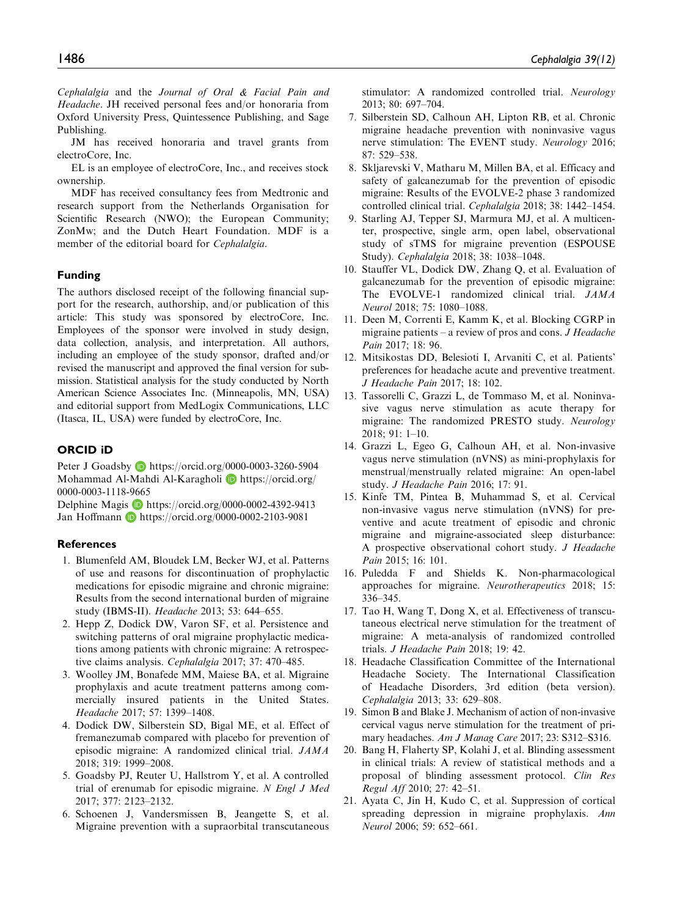Cephalalgia and the Journal of Oral & Facial Pain and Headache. JH received personal fees and/or honoraria from Oxford University Press, Quintessence Publishing, and Sage Publishing.

JM has received honoraria and travel grants from electroCore, Inc.

EL is an employee of electroCore, Inc., and receives stock ownership.

MDF has received consultancy fees from Medtronic and research support from the Netherlands Organisation for Scientific Research (NWO); the European Community; ZonMw; and the Dutch Heart Foundation. MDF is a member of the editorial board for Cephalalgia.

#### Funding

The authors disclosed receipt of the following financial support for the research, authorship, and/or publication of this article: This study was sponsored by electroCore, Inc. Employees of the sponsor were involved in study design, data collection, analysis, and interpretation. All authors, including an employee of the study sponsor, drafted and/or revised the manuscript and approved the final version for submission. Statistical analysis for the study conducted by North American Science Associates Inc. (Minneapolis, MN, USA) and editorial support from MedLogix Communications, LLC (Itasca, IL, USA) were funded by electroCore, Inc.

#### ORCID iD

Peter J Goadsby D https://orcid.org/0000-0003-3260-5904 Mohammad Al-Mahdi Al-Karagholi **D** https://orcid.org/ 0000-0003-1118-9665

Delphine Magis **b** https://orcid.org/0000-0002-4392-9413 Jan Hoffmann **b** https://orcid.org/0000-0002-2103-9081

#### **References**

- 1. Blumenfeld AM, Bloudek LM, Becker WJ, et al. Patterns of use and reasons for discontinuation of prophylactic medications for episodic migraine and chronic migraine: Results from the second international burden of migraine study (IBMS-II). Headache 2013; 53: 644–655.
- 2. Hepp Z, Dodick DW, Varon SF, et al. Persistence and switching patterns of oral migraine prophylactic medications among patients with chronic migraine: A retrospective claims analysis. Cephalalgia 2017; 37: 470–485.
- 3. Woolley JM, Bonafede MM, Maiese BA, et al. Migraine prophylaxis and acute treatment patterns among commercially insured patients in the United States. Headache 2017; 57: 1399–1408.
- 4. Dodick DW, Silberstein SD, Bigal ME, et al. Effect of fremanezumab compared with placebo for prevention of episodic migraine: A randomized clinical trial. JAMA 2018; 319: 1999–2008.
- 5. Goadsby PJ, Reuter U, Hallstrom Y, et al. A controlled trial of erenumab for episodic migraine. N Engl J Med 2017; 377: 2123–2132.
- 6. Schoenen J, Vandersmissen B, Jeangette S, et al. Migraine prevention with a supraorbital transcutaneous

stimulator: A randomized controlled trial. Neurology 2013; 80: 697–704.

- 7. Silberstein SD, Calhoun AH, Lipton RB, et al. Chronic migraine headache prevention with noninvasive vagus nerve stimulation: The EVENT study. Neurology 2016; 87: 529–538.
- 8. Skljarevski V, Matharu M, Millen BA, et al. Efficacy and safety of galcanezumab for the prevention of episodic migraine: Results of the EVOLVE-2 phase 3 randomized controlled clinical trial. Cephalalgia 2018; 38: 1442–1454.
- 9. Starling AJ, Tepper SJ, Marmura MJ, et al. A multicenter, prospective, single arm, open label, observational study of sTMS for migraine prevention (ESPOUSE Study). Cephalalgia 2018; 38: 1038–1048.
- 10. Stauffer VL, Dodick DW, Zhang Q, et al. Evaluation of galcanezumab for the prevention of episodic migraine: The EVOLVE-1 randomized clinical trial. JAMA Neurol 2018; 75: 1080–1088.
- 11. Deen M, Correnti E, Kamm K, et al. Blocking CGRP in migraine patients – a review of pros and cons. J Headache Pain 2017; 18: 96.
- 12. Mitsikostas DD, Belesioti I, Arvaniti C, et al. Patients' preferences for headache acute and preventive treatment. J Headache Pain 2017; 18: 102.
- 13. Tassorelli C, Grazzi L, de Tommaso M, et al. Noninvasive vagus nerve stimulation as acute therapy for migraine: The randomized PRESTO study. Neurology 2018; 91: 1–10.
- 14. Grazzi L, Egeo G, Calhoun AH, et al. Non-invasive vagus nerve stimulation (nVNS) as mini-prophylaxis for menstrual/menstrually related migraine: An open-label study. J Headache Pain 2016; 17: 91.
- 15. Kinfe TM, Pintea B, Muhammad S, et al. Cervical non-invasive vagus nerve stimulation (nVNS) for preventive and acute treatment of episodic and chronic migraine and migraine-associated sleep disturbance: A prospective observational cohort study. J Headache Pain 2015; 16: 101.
- 16. Puledda F and Shields K. Non-pharmacological approaches for migraine. Neurotherapeutics 2018; 15: 336–345.
- 17. Tao H, Wang T, Dong X, et al. Effectiveness of transcutaneous electrical nerve stimulation for the treatment of migraine: A meta-analysis of randomized controlled trials. J Headache Pain 2018; 19: 42.
- 18. Headache Classification Committee of the International Headache Society. The International Classification of Headache Disorders, 3rd edition (beta version). Cephalalgia 2013; 33: 629–808.
- 19. Simon B and Blake J. Mechanism of action of non-invasive cervical vagus nerve stimulation for the treatment of primary headaches. Am J Manag Care 2017; 23: S312-S316.
- 20. Bang H, Flaherty SP, Kolahi J, et al. Blinding assessment in clinical trials: A review of statistical methods and a proposal of blinding assessment protocol. Clin Res Regul Aff 2010; 27: 42–51.
- 21. Ayata C, Jin H, Kudo C, et al. Suppression of cortical spreading depression in migraine prophylaxis. Ann Neurol 2006; 59: 652–661.